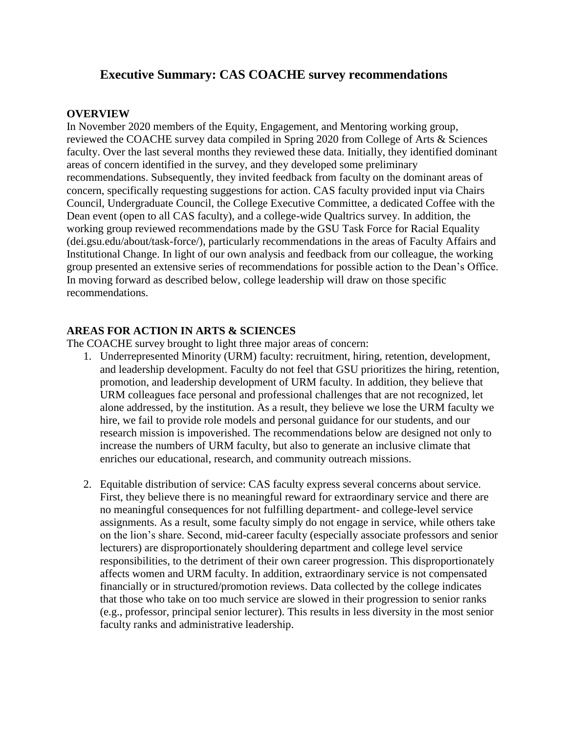### **Executive Summary: CAS COACHE survey recommendations**

#### **OVERVIEW**

In November 2020 members of the Equity, Engagement, and Mentoring working group, reviewed the COACHE survey data compiled in Spring 2020 from College of Arts & Sciences faculty. Over the last several months they reviewed these data. Initially, they identified dominant areas of concern identified in the survey, and they developed some preliminary recommendations. Subsequently, they invited feedback from faculty on the dominant areas of concern, specifically requesting suggestions for action. CAS faculty provided input via Chairs Council, Undergraduate Council, the College Executive Committee, a dedicated Coffee with the Dean event (open to all CAS faculty), and a college-wide Qualtrics survey. In addition, the working group reviewed recommendations made by the GSU Task Force for Racial Equality (dei.gsu.edu/about/task-force/), particularly recommendations in the areas of Faculty Affairs and Institutional Change. In light of our own analysis and feedback from our colleague, the working group presented an extensive series of recommendations for possible action to the Dean's Office. In moving forward as described below, college leadership will draw on those specific recommendations.

#### **AREAS FOR ACTION IN ARTS & SCIENCES**

The COACHE survey brought to light three major areas of concern:

- 1. Underrepresented Minority (URM) faculty: recruitment, hiring, retention, development, and leadership development. Faculty do not feel that GSU prioritizes the hiring, retention, promotion, and leadership development of URM faculty. In addition, they believe that URM colleagues face personal and professional challenges that are not recognized, let alone addressed, by the institution. As a result, they believe we lose the URM faculty we hire, we fail to provide role models and personal guidance for our students, and our research mission is impoverished. The recommendations below are designed not only to increase the numbers of URM faculty, but also to generate an inclusive climate that enriches our educational, research, and community outreach missions.
- 2. Equitable distribution of service: CAS faculty express several concerns about service. First, they believe there is no meaningful reward for extraordinary service and there are no meaningful consequences for not fulfilling department- and college-level service assignments. As a result, some faculty simply do not engage in service, while others take on the lion's share. Second, mid-career faculty (especially associate professors and senior lecturers) are disproportionately shouldering department and college level service responsibilities, to the detriment of their own career progression. This disproportionately affects women and URM faculty. In addition, extraordinary service is not compensated financially or in structured/promotion reviews. Data collected by the college indicates that those who take on too much service are slowed in their progression to senior ranks (e.g., professor, principal senior lecturer). This results in less diversity in the most senior faculty ranks and administrative leadership.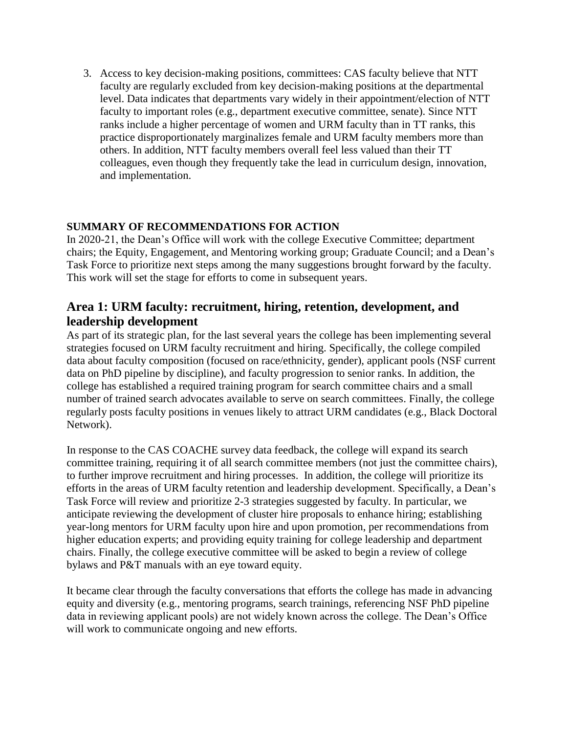3. Access to key decision-making positions, committees: CAS faculty believe that NTT faculty are regularly excluded from key decision-making positions at the departmental level. Data indicates that departments vary widely in their appointment/election of NTT faculty to important roles (e.g., department executive committee, senate). Since NTT ranks include a higher percentage of women and URM faculty than in TT ranks, this practice disproportionately marginalizes female and URM faculty members more than others. In addition, NTT faculty members overall feel less valued than their TT colleagues, even though they frequently take the lead in curriculum design, innovation, and implementation.

### **SUMMARY OF RECOMMENDATIONS FOR ACTION**

In 2020-21, the Dean's Office will work with the college Executive Committee; department chairs; the Equity, Engagement, and Mentoring working group; Graduate Council; and a Dean's Task Force to prioritize next steps among the many suggestions brought forward by the faculty. This work will set the stage for efforts to come in subsequent years.

## **Area 1: URM faculty: recruitment, hiring, retention, development, and leadership development**

As part of its strategic plan, for the last several years the college has been implementing several strategies focused on URM faculty recruitment and hiring. Specifically, the college compiled data about faculty composition (focused on race/ethnicity, gender), applicant pools (NSF current data on PhD pipeline by discipline), and faculty progression to senior ranks. In addition, the college has established a required training program for search committee chairs and a small number of trained search advocates available to serve on search committees. Finally, the college regularly posts faculty positions in venues likely to attract URM candidates (e.g., Black Doctoral Network).

In response to the CAS COACHE survey data feedback, the college will expand its search committee training, requiring it of all search committee members (not just the committee chairs), to further improve recruitment and hiring processes. In addition, the college will prioritize its efforts in the areas of URM faculty retention and leadership development. Specifically, a Dean's Task Force will review and prioritize 2-3 strategies suggested by faculty. In particular, we anticipate reviewing the development of cluster hire proposals to enhance hiring; establishing year-long mentors for URM faculty upon hire and upon promotion, per recommendations from higher education experts; and providing equity training for college leadership and department chairs. Finally, the college executive committee will be asked to begin a review of college bylaws and P&T manuals with an eye toward equity.

It became clear through the faculty conversations that efforts the college has made in advancing equity and diversity (e.g., mentoring programs, search trainings, referencing NSF PhD pipeline data in reviewing applicant pools) are not widely known across the college. The Dean's Office will work to communicate ongoing and new efforts.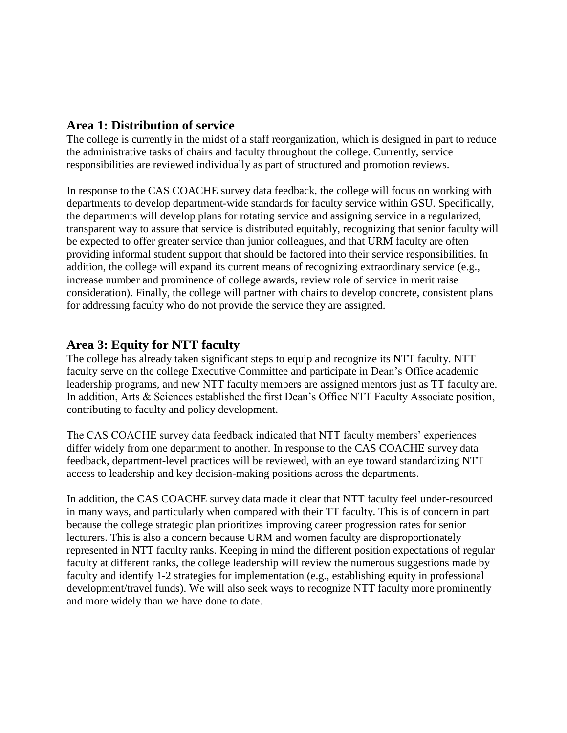### **Area 1: Distribution of service**

The college is currently in the midst of a staff reorganization, which is designed in part to reduce the administrative tasks of chairs and faculty throughout the college. Currently, service responsibilities are reviewed individually as part of structured and promotion reviews.

In response to the CAS COACHE survey data feedback, the college will focus on working with departments to develop department-wide standards for faculty service within GSU. Specifically, the departments will develop plans for rotating service and assigning service in a regularized, transparent way to assure that service is distributed equitably, recognizing that senior faculty will be expected to offer greater service than junior colleagues, and that URM faculty are often providing informal student support that should be factored into their service responsibilities. In addition, the college will expand its current means of recognizing extraordinary service (e.g., increase number and prominence of college awards, review role of service in merit raise consideration). Finally, the college will partner with chairs to develop concrete, consistent plans for addressing faculty who do not provide the service they are assigned.

## **Area 3: Equity for NTT faculty**

The college has already taken significant steps to equip and recognize its NTT faculty. NTT faculty serve on the college Executive Committee and participate in Dean's Office academic leadership programs, and new NTT faculty members are assigned mentors just as TT faculty are. In addition, Arts & Sciences established the first Dean's Office NTT Faculty Associate position, contributing to faculty and policy development.

The CAS COACHE survey data feedback indicated that NTT faculty members' experiences differ widely from one department to another. In response to the CAS COACHE survey data feedback, department-level practices will be reviewed, with an eye toward standardizing NTT access to leadership and key decision-making positions across the departments.

In addition, the CAS COACHE survey data made it clear that NTT faculty feel under-resourced in many ways, and particularly when compared with their TT faculty. This is of concern in part because the college strategic plan prioritizes improving career progression rates for senior lecturers. This is also a concern because URM and women faculty are disproportionately represented in NTT faculty ranks. Keeping in mind the different position expectations of regular faculty at different ranks, the college leadership will review the numerous suggestions made by faculty and identify 1-2 strategies for implementation (e.g., establishing equity in professional development/travel funds). We will also seek ways to recognize NTT faculty more prominently and more widely than we have done to date.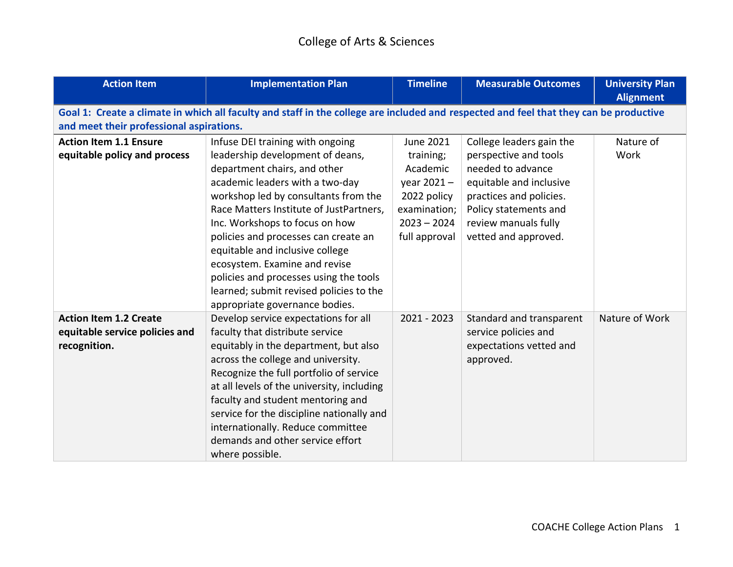| <b>Action Item</b>                                                              | <b>Implementation Plan</b>                                                                                                                                                                                                                                                                                                                                                                                                                                                                      | <b>Timeline</b>                                                                                                             | <b>Measurable Outcomes</b>                                                                                                                                                                            | <b>University Plan</b><br><b>Alignment</b> |
|---------------------------------------------------------------------------------|-------------------------------------------------------------------------------------------------------------------------------------------------------------------------------------------------------------------------------------------------------------------------------------------------------------------------------------------------------------------------------------------------------------------------------------------------------------------------------------------------|-----------------------------------------------------------------------------------------------------------------------------|-------------------------------------------------------------------------------------------------------------------------------------------------------------------------------------------------------|--------------------------------------------|
|                                                                                 | Goal 1: Create a climate in which all faculty and staff in the college are included and respected and feel that they can be productive                                                                                                                                                                                                                                                                                                                                                          |                                                                                                                             |                                                                                                                                                                                                       |                                            |
| and meet their professional aspirations.                                        |                                                                                                                                                                                                                                                                                                                                                                                                                                                                                                 |                                                                                                                             |                                                                                                                                                                                                       |                                            |
| <b>Action Item 1.1 Ensure</b><br>equitable policy and process                   | Infuse DEI training with ongoing<br>leadership development of deans,<br>department chairs, and other<br>academic leaders with a two-day<br>workshop led by consultants from the<br>Race Matters Institute of JustPartners,<br>Inc. Workshops to focus on how<br>policies and processes can create an<br>equitable and inclusive college<br>ecosystem. Examine and revise<br>policies and processes using the tools<br>learned; submit revised policies to the<br>appropriate governance bodies. | <b>June 2021</b><br>training;<br>Academic<br>year $2021 -$<br>2022 policy<br>examination;<br>$2023 - 2024$<br>full approval | College leaders gain the<br>perspective and tools<br>needed to advance<br>equitable and inclusive<br>practices and policies.<br>Policy statements and<br>review manuals fully<br>vetted and approved. | Nature of<br>Work                          |
| <b>Action Item 1.2 Create</b><br>equitable service policies and<br>recognition. | Develop service expectations for all<br>faculty that distribute service<br>equitably in the department, but also<br>across the college and university.<br>Recognize the full portfolio of service<br>at all levels of the university, including<br>faculty and student mentoring and<br>service for the discipline nationally and<br>internationally. Reduce committee<br>demands and other service effort<br>where possible.                                                                   | 2021 - 2023                                                                                                                 | Standard and transparent<br>service policies and<br>expectations vetted and<br>approved.                                                                                                              | Nature of Work                             |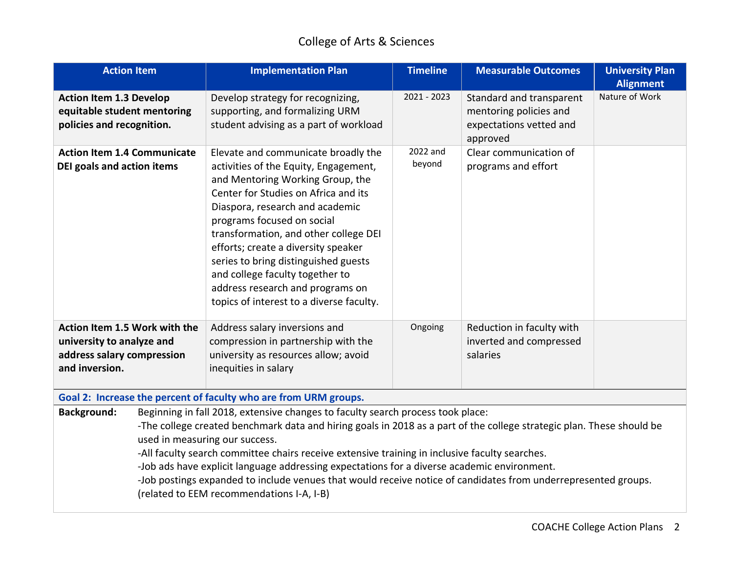| <b>Action Item</b>                                                                                                                                                                                                                                                                                                                                                                                                                                                                                                                                                                                                               | <b>Implementation Plan</b>                                                                                                                                                                                                                                                                                                                                                                                                                                           | <b>Timeline</b>    | <b>Measurable Outcomes</b>                                                                | <b>University Plan</b><br><b>Alignment</b> |
|----------------------------------------------------------------------------------------------------------------------------------------------------------------------------------------------------------------------------------------------------------------------------------------------------------------------------------------------------------------------------------------------------------------------------------------------------------------------------------------------------------------------------------------------------------------------------------------------------------------------------------|----------------------------------------------------------------------------------------------------------------------------------------------------------------------------------------------------------------------------------------------------------------------------------------------------------------------------------------------------------------------------------------------------------------------------------------------------------------------|--------------------|-------------------------------------------------------------------------------------------|--------------------------------------------|
| <b>Action Item 1.3 Develop</b><br>equitable student mentoring<br>policies and recognition.                                                                                                                                                                                                                                                                                                                                                                                                                                                                                                                                       | Develop strategy for recognizing,<br>supporting, and formalizing URM<br>student advising as a part of workload                                                                                                                                                                                                                                                                                                                                                       | 2021 - 2023        | Standard and transparent<br>mentoring policies and<br>expectations vetted and<br>approved | Nature of Work                             |
| <b>Action Item 1.4 Communicate</b><br>DEI goals and action items                                                                                                                                                                                                                                                                                                                                                                                                                                                                                                                                                                 | Elevate and communicate broadly the<br>activities of the Equity, Engagement,<br>and Mentoring Working Group, the<br>Center for Studies on Africa and its<br>Diaspora, research and academic<br>programs focused on social<br>transformation, and other college DEI<br>efforts; create a diversity speaker<br>series to bring distinguished guests<br>and college faculty together to<br>address research and programs on<br>topics of interest to a diverse faculty. | 2022 and<br>beyond | Clear communication of<br>programs and effort                                             |                                            |
| Action Item 1.5 Work with the<br>university to analyze and<br>address salary compression<br>and inversion.                                                                                                                                                                                                                                                                                                                                                                                                                                                                                                                       | Address salary inversions and<br>compression in partnership with the<br>university as resources allow; avoid<br>inequities in salary                                                                                                                                                                                                                                                                                                                                 | Ongoing            | Reduction in faculty with<br>inverted and compressed<br>salaries                          |                                            |
|                                                                                                                                                                                                                                                                                                                                                                                                                                                                                                                                                                                                                                  | Goal 2: Increase the percent of faculty who are from URM groups.                                                                                                                                                                                                                                                                                                                                                                                                     |                    |                                                                                           |                                            |
| Beginning in fall 2018, extensive changes to faculty search process took place:<br><b>Background:</b><br>-The college created benchmark data and hiring goals in 2018 as a part of the college strategic plan. These should be<br>used in measuring our success.<br>-All faculty search committee chairs receive extensive training in inclusive faculty searches.<br>-Job ads have explicit language addressing expectations for a diverse academic environment.<br>-Job postings expanded to include venues that would receive notice of candidates from underrepresented groups.<br>(related to EEM recommendations I-A, I-B) |                                                                                                                                                                                                                                                                                                                                                                                                                                                                      |                    |                                                                                           |                                            |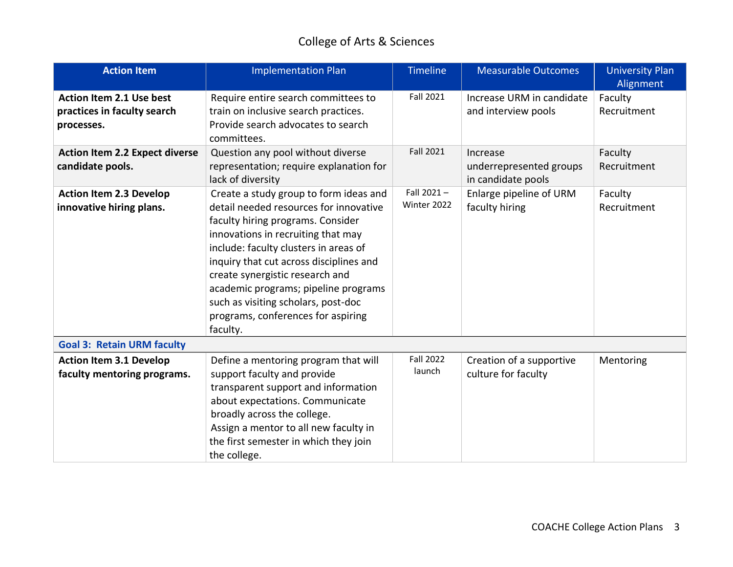| <b>Action Item</b>                                                           | <b>Implementation Plan</b>                                                                                                                                                                                                                                                                                                                                                                                          | <b>Timeline</b>              | <b>Measurable Outcomes</b>                                | <b>University Plan</b><br>Alignment |
|------------------------------------------------------------------------------|---------------------------------------------------------------------------------------------------------------------------------------------------------------------------------------------------------------------------------------------------------------------------------------------------------------------------------------------------------------------------------------------------------------------|------------------------------|-----------------------------------------------------------|-------------------------------------|
| <b>Action Item 2.1 Use best</b><br>practices in faculty search<br>processes. | Require entire search committees to<br>train on inclusive search practices.<br>Provide search advocates to search<br>committees.                                                                                                                                                                                                                                                                                    | Fall 2021                    | Increase URM in candidate<br>and interview pools          | Faculty<br>Recruitment              |
| <b>Action Item 2.2 Expect diverse</b><br>candidate pools.                    | Question any pool without diverse<br>representation; require explanation for<br>lack of diversity                                                                                                                                                                                                                                                                                                                   | <b>Fall 2021</b>             | Increase<br>underrepresented groups<br>in candidate pools | Faculty<br>Recruitment              |
| <b>Action Item 2.3 Develop</b><br>innovative hiring plans.                   | Create a study group to form ideas and<br>detail needed resources for innovative<br>faculty hiring programs. Consider<br>innovations in recruiting that may<br>include: faculty clusters in areas of<br>inquiry that cut across disciplines and<br>create synergistic research and<br>academic programs; pipeline programs<br>such as visiting scholars, post-doc<br>programs, conferences for aspiring<br>faculty. | Fall $2021 -$<br>Winter 2022 | Enlarge pipeline of URM<br>faculty hiring                 | Faculty<br>Recruitment              |
| <b>Goal 3: Retain URM faculty</b>                                            |                                                                                                                                                                                                                                                                                                                                                                                                                     |                              |                                                           |                                     |
| <b>Action Item 3.1 Develop</b><br>faculty mentoring programs.                | Define a mentoring program that will<br>support faculty and provide<br>transparent support and information<br>about expectations. Communicate<br>broadly across the college.<br>Assign a mentor to all new faculty in<br>the first semester in which they join<br>the college.                                                                                                                                      | <b>Fall 2022</b><br>launch   | Creation of a supportive<br>culture for faculty           | Mentoring                           |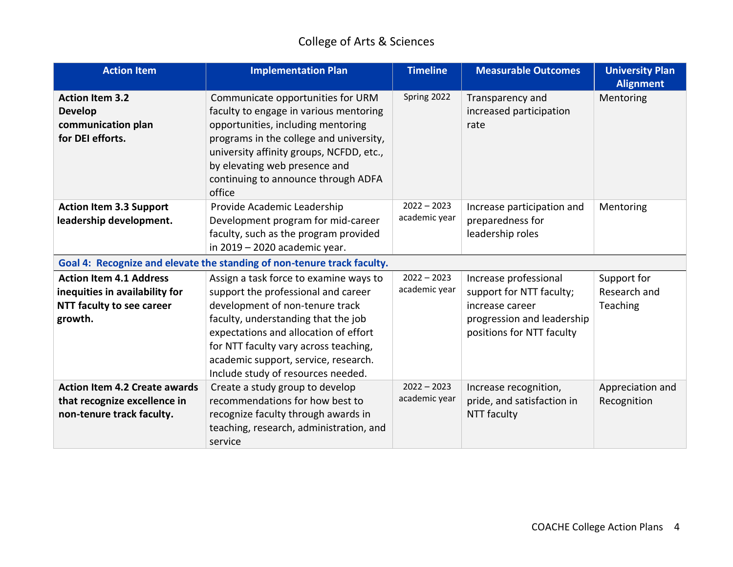| <b>Action Item</b>                                                                                       | <b>Implementation Plan</b>                                                                                                                                                                                                                                                                                              | <b>Timeline</b>                | <b>Measurable Outcomes</b>                                                                                                      | <b>University Plan</b><br><b>Alignment</b> |
|----------------------------------------------------------------------------------------------------------|-------------------------------------------------------------------------------------------------------------------------------------------------------------------------------------------------------------------------------------------------------------------------------------------------------------------------|--------------------------------|---------------------------------------------------------------------------------------------------------------------------------|--------------------------------------------|
| <b>Action Item 3.2</b><br><b>Develop</b><br>communication plan<br>for DEI efforts.                       | Communicate opportunities for URM<br>faculty to engage in various mentoring<br>opportunities, including mentoring<br>programs in the college and university,<br>university affinity groups, NCFDD, etc.,<br>by elevating web presence and<br>continuing to announce through ADFA<br>office                              | Spring 2022                    | Transparency and<br>increased participation<br>rate                                                                             | Mentoring                                  |
| <b>Action Item 3.3 Support</b><br>leadership development.                                                | Provide Academic Leadership<br>Development program for mid-career<br>faculty, such as the program provided<br>in 2019 - 2020 academic year.                                                                                                                                                                             | $2022 - 2023$<br>academic year | Increase participation and<br>preparedness for<br>leadership roles                                                              | Mentoring                                  |
|                                                                                                          | Goal 4: Recognize and elevate the standing of non-tenure track faculty.                                                                                                                                                                                                                                                 |                                |                                                                                                                                 |                                            |
| <b>Action Item 4.1 Address</b><br>inequities in availability for<br>NTT faculty to see career<br>growth. | Assign a task force to examine ways to<br>support the professional and career<br>development of non-tenure track<br>faculty, understanding that the job<br>expectations and allocation of effort<br>for NTT faculty vary across teaching,<br>academic support, service, research.<br>Include study of resources needed. | $2022 - 2023$<br>academic year | Increase professional<br>support for NTT faculty;<br>increase career<br>progression and leadership<br>positions for NTT faculty | Support for<br>Research and<br>Teaching    |
| <b>Action Item 4.2 Create awards</b><br>that recognize excellence in<br>non-tenure track faculty.        | Create a study group to develop<br>recommendations for how best to<br>recognize faculty through awards in<br>teaching, research, administration, and<br>service                                                                                                                                                         | $2022 - 2023$<br>academic year | Increase recognition,<br>pride, and satisfaction in<br>NTT faculty                                                              | Appreciation and<br>Recognition            |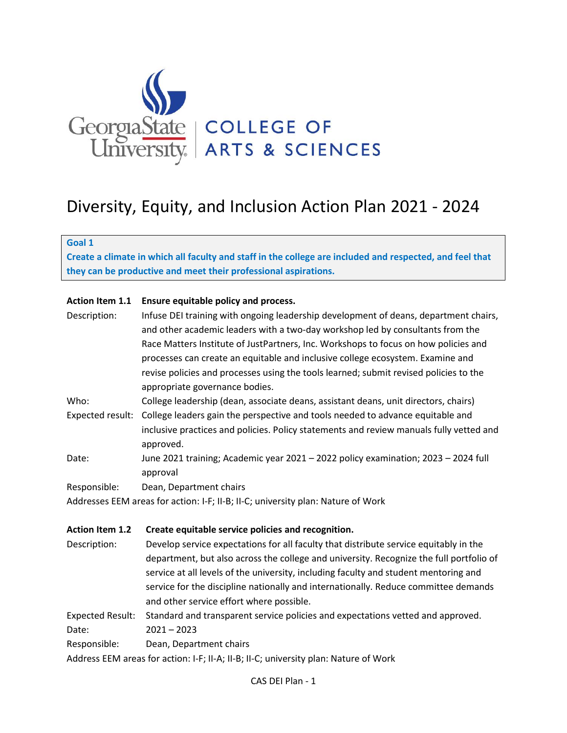

# Diversity, Equity, and Inclusion Action Plan 2021 - 2024

**Goal 1**

**Create a climate in which all faculty and staff in the college are included and respected, and feel that they can be productive and meet their professional aspirations.**

#### **Action Item 1.1 Ensure equitable policy and process.**

| Description:            | Infuse DEI training with ongoing leadership development of deans, department chairs,                 |
|-------------------------|------------------------------------------------------------------------------------------------------|
|                         | and other academic leaders with a two-day workshop led by consultants from the                       |
|                         | Race Matters Institute of JustPartners, Inc. Workshops to focus on how policies and                  |
|                         | processes can create an equitable and inclusive college ecosystem. Examine and                       |
|                         | revise policies and processes using the tools learned; submit revised policies to the                |
|                         | appropriate governance bodies.                                                                       |
| Who:                    | College leadership (dean, associate deans, assistant deans, unit directors, chairs)                  |
| Expected result:        | College leaders gain the perspective and tools needed to advance equitable and                       |
|                         | inclusive practices and policies. Policy statements and review manuals fully vetted and<br>approved. |
| Date:                   | June 2021 training; Academic year 2021 - 2022 policy examination; 2023 - 2024 full                   |
|                         | approval                                                                                             |
| Responsible:            | Dean, Department chairs                                                                              |
|                         | Addresses EEM areas for action: I-F; II-B; II-C; university plan: Nature of Work                     |
| <b>Action Item 1.2</b>  | Create equitable service policies and recognition.                                                   |
| Description:            | Develop service expectations for all faculty that distribute service equitably in the                |
|                         | department, but also across the college and university. Recognize the full portfolio of              |
|                         | service at all levels of the university, including faculty and student mentoring and                 |
|                         | service for the discipline nationally and internationally. Reduce committee demands                  |
|                         | and other service effort where possible.                                                             |
| <b>Expected Result:</b> | Standard and transparent service policies and expectations vetted and approved.                      |
| Date:                   | $2021 - 2023$                                                                                        |
| Responsible:            | Dean, Department chairs                                                                              |
|                         | Address EEM areas for action: I-F; II-A; II-B; II-C; university plan: Nature of Work                 |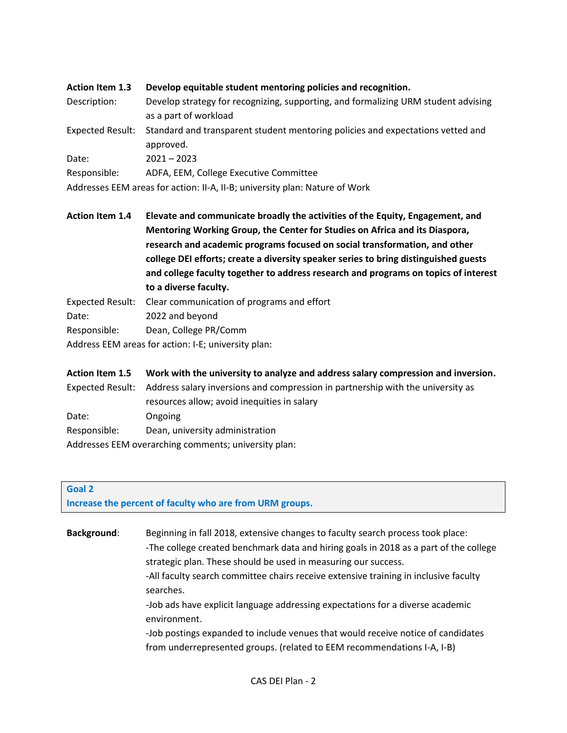| <b>Action Item 1.3</b>  | Develop equitable student mentoring policies and recognition.                      |
|-------------------------|------------------------------------------------------------------------------------|
| Description:            | Develop strategy for recognizing, supporting, and formalizing URM student advising |
|                         | as a part of workload                                                              |
| <b>Expected Result:</b> | Standard and transparent student mentoring policies and expectations vetted and    |
|                         | approved.                                                                          |
| Date:                   | $2021 - 2023$                                                                      |
| Responsible:            | ADFA, EEM, College Executive Committee                                             |
|                         | Addresses EEM areas for action: II-A, II-B; university plan: Nature of Work        |

**Action Item 1.4 Elevate and communicate broadly the activities of the Equity, Engagement, and Mentoring Working Group, the Center for Studies on Africa and its Diaspora, research and academic programs focused on social transformation, and other college DEI efforts; create a diversity speaker series to bring distinguished guests and college faculty together to address research and programs on topics of interest to a diverse faculty.**

- Expected Result: Clear communication of programs and effort
- Date: 2022 and beyond
- Responsible: Dean, College PR/Comm

Address EEM areas for action: I-E; university plan:

| <b>Action Item 1.5</b> | Work with the university to analyze and address salary compression and inversion.                |
|------------------------|--------------------------------------------------------------------------------------------------|
|                        | Expected Result: Address salary inversions and compression in partnership with the university as |
|                        | resources allow; avoid inequities in salary                                                      |
| Date:                  | Ongoing                                                                                          |
| Responsible:           | Dean, university administration                                                                  |
|                        | Addresses EEM overarching comments; university plan:                                             |

#### **Goal 2 Increase the percent of faculty who are from URM groups.**

**Background**: Beginning in fall 2018, extensive changes to faculty search process took place: -The college created benchmark data and hiring goals in 2018 as a part of the college strategic plan. These should be used in measuring our success. -All faculty search committee chairs receive extensive training in inclusive faculty searches. -Job ads have explicit language addressing expectations for a diverse academic environment. -Job postings expanded to include venues that would receive notice of candidates from underrepresented groups. (related to EEM recommendations I-A, I-B)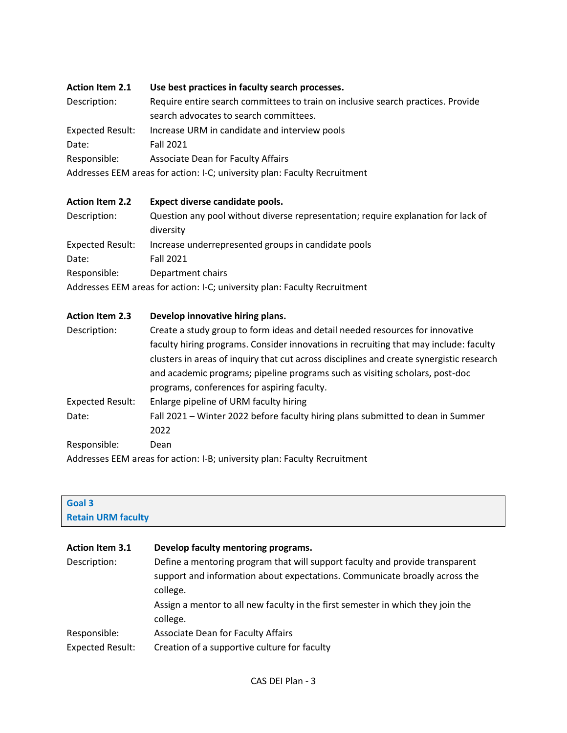| <b>Action Item 2.1</b>  | Use best practices in faculty search processes.                                                                            |
|-------------------------|----------------------------------------------------------------------------------------------------------------------------|
| Description:            | Require entire search committees to train on inclusive search practices. Provide<br>search advocates to search committees. |
| <b>Expected Result:</b> | Increase URM in candidate and interview pools                                                                              |
| Date:                   | <b>Fall 2021</b>                                                                                                           |
| Responsible:            | Associate Dean for Faculty Affairs                                                                                         |
|                         | Addresses EEM areas for action: I-C; university plan: Faculty Recruitment                                                  |

| <b>Action Item 2.2</b>  | Expect diverse candidate pools.                                                                |
|-------------------------|------------------------------------------------------------------------------------------------|
| Description:            | Question any pool without diverse representation; require explanation for lack of<br>diversity |
| <b>Expected Result:</b> | Increase underrepresented groups in candidate pools                                            |
| Date:                   | <b>Fall 2021</b>                                                                               |
| Responsible:            | Department chairs                                                                              |
|                         | Addresses EEM areas for action: I-C; university plan: Faculty Recruitment                      |

| <b>Action Item 2.3</b>  | Develop innovative hiring plans.                                                                              |
|-------------------------|---------------------------------------------------------------------------------------------------------------|
| Description:            | Create a study group to form ideas and detail needed resources for innovative                                 |
|                         | faculty hiring programs. Consider innovations in recruiting that may include: faculty                         |
|                         | clusters in areas of inquiry that cut across disciplines and create synergistic research                      |
|                         | and academic programs; pipeline programs such as visiting scholars, post-doc                                  |
|                         | programs, conferences for aspiring faculty.                                                                   |
| <b>Expected Result:</b> | Enlarge pipeline of URM faculty hiring                                                                        |
| Date:                   | Fall 2021 – Winter 2022 before faculty hiring plans submitted to dean in Summer                               |
|                         | 2022                                                                                                          |
| Responsible:            | Dean                                                                                                          |
|                         | . A alaba e e e e EEA A a como o forma de todo II. Dirigio do contro de la contradición de la contradición de |

Addresses EEM areas for action: I-B; university plan: Faculty Recruitment

| <b>Retain URM faculty</b>                                                       |  |
|---------------------------------------------------------------------------------|--|
|                                                                                 |  |
| Develop faculty mentoring programs.                                             |  |
| Define a mentoring program that will support faculty and provide transparent    |  |
| support and information about expectations. Communicate broadly across the      |  |
| college.                                                                        |  |
| Assign a mentor to all new faculty in the first semester in which they join the |  |
| college.                                                                        |  |
| Associate Dean for Faculty Affairs                                              |  |
| Creation of a supportive culture for faculty                                    |  |
|                                                                                 |  |